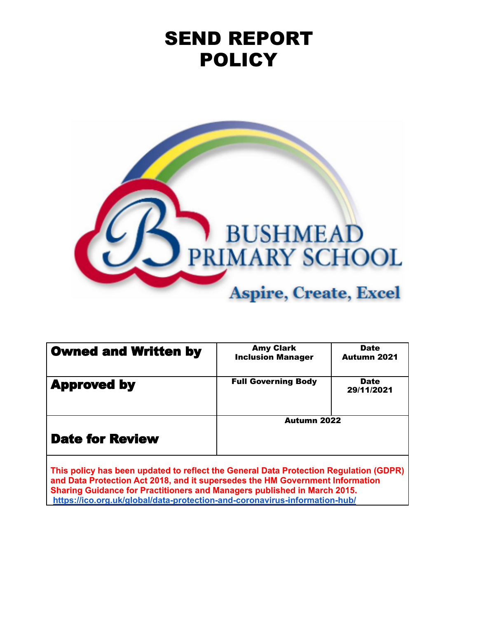# SEND REPORT **POLICY**



| <b>Owned and Written by</b> | <b>Amy Clark</b><br><b>Inclusion Manager</b> | <b>Date</b><br><b>Autumn 2021</b> |
|-----------------------------|----------------------------------------------|-----------------------------------|
| <b>Approved by</b>          | <b>Full Governing Body</b>                   | <b>Date</b><br>29/11/2021         |
| <b>Date for Review</b>      | Autumn 2022                                  |                                   |

**This policy has been updated to reflect the General Data Protection Regulation (GDPR) and Data Protection Act 2018, and it supersedes the HM Government Information Sharing Guidance for Practitioners and Managers published in March 2015. <https://ico.org.uk/global/data-protection-and-coronavirus-information-hub/>**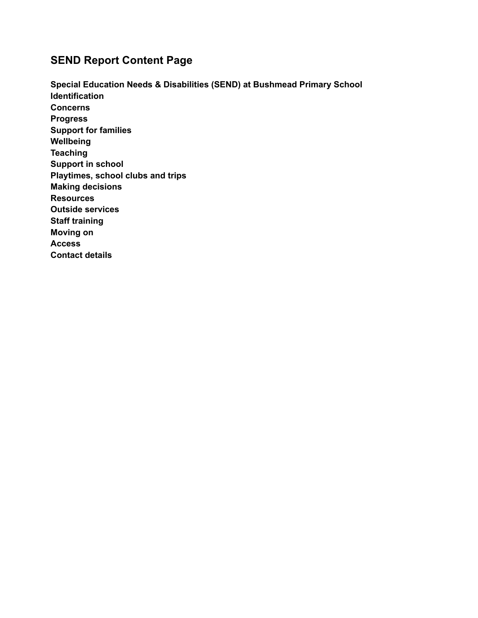## **SEND Report Content Page**

**Special Education Needs & Disabilities (SEND) at Bushmead Primary School Identification Concerns Progress Support for families Wellbeing Teaching Support in school Playtimes, school clubs and trips Making decisions Resources Outside services Staff training Moving on Access Contact details**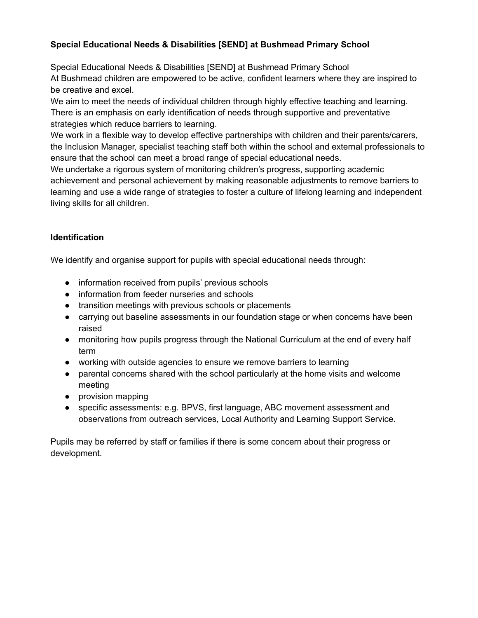## **Special Educational Needs & Disabilities [SEND] at Bushmead Primary School**

Special Educational Needs & Disabilities [SEND] at Bushmead Primary School At Bushmead children are empowered to be active, confident learners where they are inspired to be creative and excel.

We aim to meet the needs of individual children through highly effective teaching and learning. There is an emphasis on early identification of needs through supportive and preventative strategies which reduce barriers to learning.

We work in a flexible way to develop effective partnerships with children and their parents/carers, the Inclusion Manager, specialist teaching staff both within the school and external professionals to ensure that the school can meet a broad range of special educational needs.

We undertake a rigorous system of monitoring children's progress, supporting academic achievement and personal achievement by making reasonable adjustments to remove barriers to learning and use a wide range of strategies to foster a culture of lifelong learning and independent living skills for all children.

## **Identification**

We identify and organise support for pupils with special educational needs through:

- information received from pupils' previous schools
- information from feeder nurseries and schools
- transition meetings with previous schools or placements
- carrying out baseline assessments in our foundation stage or when concerns have been raised
- monitoring how pupils progress through the National Curriculum at the end of every half term
- working with outside agencies to ensure we remove barriers to learning
- parental concerns shared with the school particularly at the home visits and welcome meeting
- provision mapping
- specific assessments: e.g. BPVS, first language, ABC movement assessment and observations from outreach services, Local Authority and Learning Support Service.

Pupils may be referred by staff or families if there is some concern about their progress or development.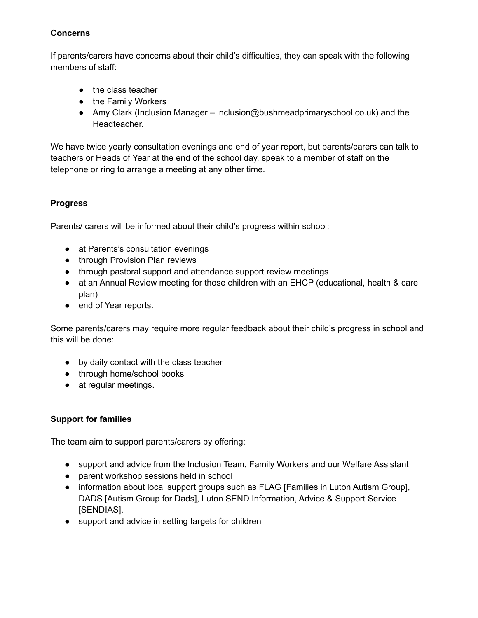## **Concerns**

If parents/carers have concerns about their child's difficulties, they can speak with the following members of staff:

- the class teacher
- the Family Workers
- Amy Clark (Inclusion Manager inclusion@bushmeadprimaryschool.co.uk) and the Headteacher.

We have twice yearly consultation evenings and end of year report, but parents/carers can talk to teachers or Heads of Year at the end of the school day, speak to a member of staff on the telephone or ring to arrange a meeting at any other time.

## **Progress**

Parents/ carers will be informed about their child's progress within school:

- at Parents's consultation evenings
- through Provision Plan reviews
- through pastoral support and attendance support review meetings
- at an Annual Review meeting for those children with an EHCP (educational, health & care plan)
- end of Year reports.

Some parents/carers may require more regular feedback about their child's progress in school and this will be done:

- by daily contact with the class teacher
- through home/school books
- at regular meetings.

## **Support for families**

The team aim to support parents/carers by offering:

- support and advice from the Inclusion Team, Family Workers and our Welfare Assistant
- parent workshop sessions held in school
- information about local support groups such as FLAG [Families in Luton Autism Group], DADS [Autism Group for Dads], Luton SEND Information, Advice & Support Service [SENDIAS].
- support and advice in setting targets for children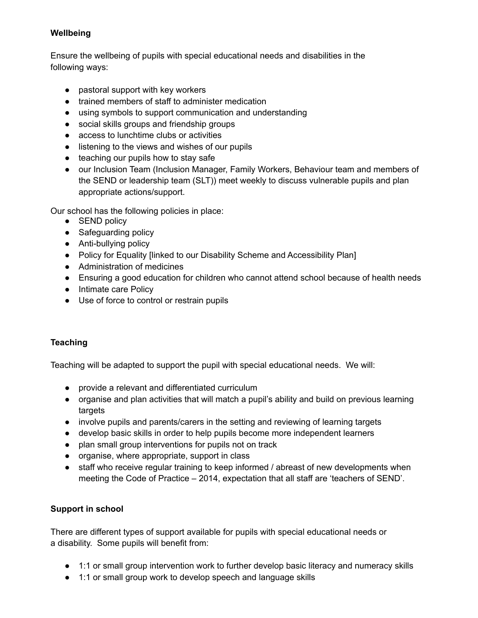## **Wellbeing**

Ensure the wellbeing of pupils with special educational needs and disabilities in the following ways:

- pastoral support with key workers
- trained members of staff to administer medication
- using symbols to support communication and understanding
- social skills groups and friendship groups
- access to lunchtime clubs or activities
- listening to the views and wishes of our pupils
- teaching our pupils how to stay safe
- our Inclusion Team (Inclusion Manager, Family Workers, Behaviour team and members of the SEND or leadership team (SLT)) meet weekly to discuss vulnerable pupils and plan appropriate actions/support.

Our school has the following policies in place:

- SEND policy
- Safeguarding policy
- Anti-bullying policy
- Policy for Equality [linked to our Disability Scheme and Accessibility Plan]
- Administration of medicines
- Ensuring a good education for children who cannot attend school because of health needs
- Intimate care Policy
- Use of force to control or restrain pupils

## **Teaching**

Teaching will be adapted to support the pupil with special educational needs. We will:

- provide a relevant and differentiated curriculum
- organise and plan activities that will match a pupil's ability and build on previous learning targets
- involve pupils and parents/carers in the setting and reviewing of learning targets
- develop basic skills in order to help pupils become more independent learners
- plan small group interventions for pupils not on track
- organise, where appropriate, support in class
- staff who receive regular training to keep informed / abreast of new developments when meeting the Code of Practice – 2014, expectation that all staff are 'teachers of SEND'.

## **Support in school**

There are different types of support available for pupils with special educational needs or a disability. Some pupils will benefit from:

- 1:1 or small group intervention work to further develop basic literacy and numeracy skills
- 1:1 or small group work to develop speech and language skills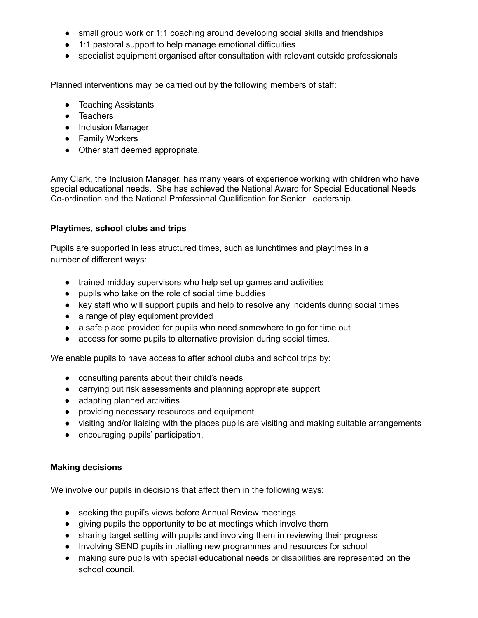- small group work or 1:1 coaching around developing social skills and friendships
- 1:1 pastoral support to help manage emotional difficulties
- specialist equipment organised after consultation with relevant outside professionals

Planned interventions may be carried out by the following members of staff:

- Teaching Assistants
- Teachers
- Inclusion Manager
- Family Workers
- Other staff deemed appropriate.

Amy Clark, the Inclusion Manager, has many years of experience working with children who have special educational needs. She has achieved the National Award for Special Educational Needs Co-ordination and the National Professional Qualification for Senior Leadership.

#### **Playtimes, school clubs and trips**

Pupils are supported in less structured times, such as lunchtimes and playtimes in a number of different ways:

- trained midday supervisors who help set up games and activities
- pupils who take on the role of social time buddies
- key staff who will support pupils and help to resolve any incidents during social times
- a range of play equipment provided
- a safe place provided for pupils who need somewhere to go for time out
- access for some pupils to alternative provision during social times.

We enable pupils to have access to after school clubs and school trips by:

- consulting parents about their child's needs
- carrying out risk assessments and planning appropriate support
- adapting planned activities
- providing necessary resources and equipment
- visiting and/or liaising with the places pupils are visiting and making suitable arrangements
- encouraging pupils' participation.

#### **Making decisions**

We involve our pupils in decisions that affect them in the following ways:

- seeking the pupil's views before Annual Review meetings
- giving pupils the opportunity to be at meetings which involve them
- sharing target setting with pupils and involving them in reviewing their progress
- Involving SEND pupils in trialling new programmes and resources for school
- making sure pupils with special educational needs or disabilities are represented on the school council.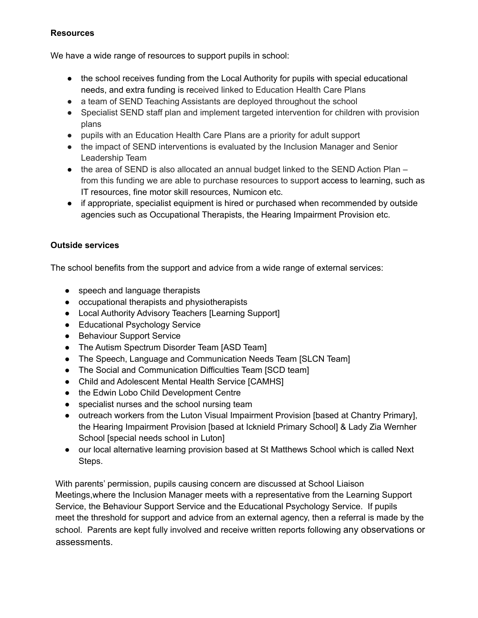#### **Resources**

We have a wide range of resources to support pupils in school:

- the school receives funding from the Local Authority for pupils with special educational needs, and extra funding is received linked to Education Health Care Plans
- a team of SEND Teaching Assistants are deployed throughout the school
- Specialist SEND staff plan and implement targeted intervention for children with provision plans
- pupils with an Education Health Care Plans are a priority for adult support
- the impact of SEND interventions is evaluated by the Inclusion Manager and Senior Leadership Team
- $\bullet$  the area of SEND is also allocated an annual budget linked to the SEND Action Plan from this funding we are able to purchase resources to support access to learning, such as IT resources, fine motor skill resources, Numicon etc.
- if appropriate, specialist equipment is hired or purchased when recommended by outside agencies such as Occupational Therapists, the Hearing Impairment Provision etc.

## **Outside services**

The school benefits from the support and advice from a wide range of external services:

- speech and language therapists
- occupational therapists and physiotherapists
- Local Authority Advisory Teachers [Learning Support]
- Educational Psychology Service
- Behaviour Support Service
- The Autism Spectrum Disorder Team [ASD Team]
- The Speech, Language and Communication Needs Team [SLCN Team]
- The Social and Communication Difficulties Team [SCD team]
- Child and Adolescent Mental Health Service [CAMHS]
- the Edwin Lobo Child Development Centre
- specialist nurses and the school nursing team
- outreach workers from the Luton Visual Impairment Provision [based at Chantry Primary], the Hearing Impairment Provision [based at Icknield Primary School] & Lady Zia Wernher School [special needs school in Luton]
- our local alternative learning provision based at St Matthews School which is called Next Steps.

With parents' permission, pupils causing concern are discussed at School Liaison Meetings,where the Inclusion Manager meets with a representative from the Learning Support Service, the Behaviour Support Service and the Educational Psychology Service. If pupils meet the threshold for support and advice from an external agency, then a referral is made by the school. Parents are kept fully involved and receive written reports following any observations or assessments.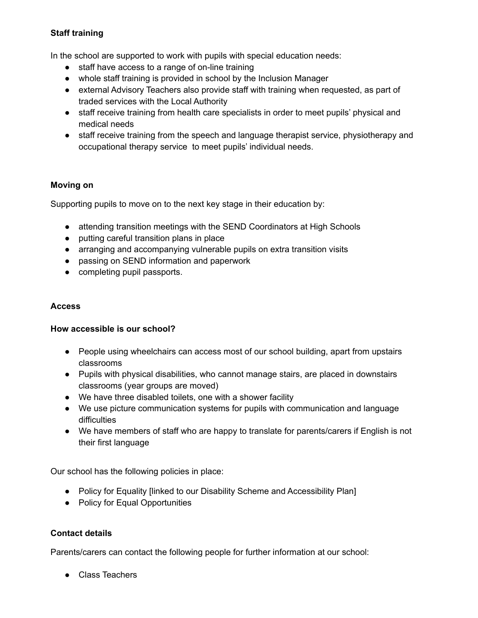## **Staff training**

In the school are supported to work with pupils with special education needs:

- staff have access to a range of on-line training
- whole staff training is provided in school by the Inclusion Manager
- external Advisory Teachers also provide staff with training when requested, as part of traded services with the Local Authority
- staff receive training from health care specialists in order to meet pupils' physical and medical needs
- staff receive training from the speech and language therapist service, physiotherapy and occupational therapy service to meet pupils' individual needs.

## **Moving on**

Supporting pupils to move on to the next key stage in their education by:

- attending transition meetings with the SEND Coordinators at High Schools
- putting careful transition plans in place
- arranging and accompanying vulnerable pupils on extra transition visits
- passing on SEND information and paperwork
- completing pupil passports.

#### **Access**

#### **How accessible is our school?**

- People using wheelchairs can access most of our school building, apart from upstairs classrooms
- Pupils with physical disabilities, who cannot manage stairs, are placed in downstairs classrooms (year groups are moved)
- We have three disabled toilets, one with a shower facility
- We use picture communication systems for pupils with communication and language difficulties
- We have members of staff who are happy to translate for parents/carers if English is not their first language

Our school has the following policies in place:

- Policy for Equality [linked to our Disability Scheme and Accessibility Plan]
- Policy for Equal Opportunities

## **Contact details**

Parents/carers can contact the following people for further information at our school:

● Class Teachers